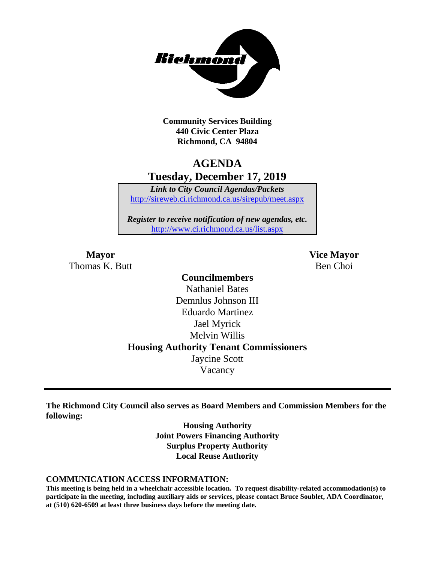

**Community Services Building 440 Civic Center Plaza Richmond, CA 94804**

## **AGENDA Tuesday, December 17, 2019**

*Link to City Council Agendas/Packets* <http://sireweb.ci.richmond.ca.us/sirepub/meet.aspx>

*Register to receive notification of new agendas, etc.* <http://www.ci.richmond.ca.us/list.aspx>

Thomas K. Butt Ben Choi

**Mayor Vice Mayor**

## **Councilmembers** Nathaniel Bates Demnlus Johnson III Eduardo Martinez Jael Myrick Melvin Willis **Housing Authority Tenant Commissioners** Jaycine Scott Vacancy

**The Richmond City Council also serves as Board Members and Commission Members for the following:**

> **Housing Authority Joint Powers Financing Authority Surplus Property Authority Local Reuse Authority**

#### **COMMUNICATION ACCESS INFORMATION:**

**This meeting is being held in a wheelchair accessible location. To request disability-related accommodation(s) to participate in the meeting, including auxiliary aids or services, please contact Bruce Soublet, ADA Coordinator, at (510) 620-6509 at least three business days before the meeting date.**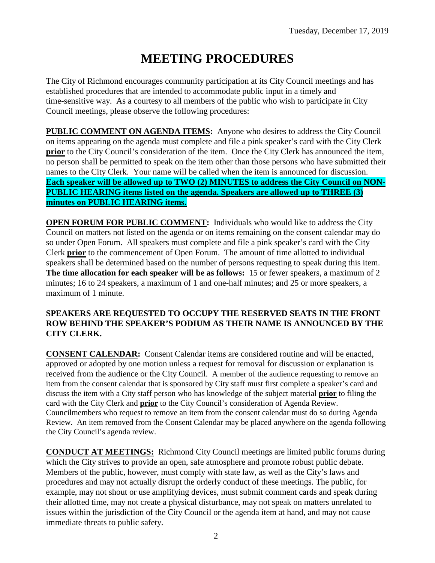# **MEETING PROCEDURES**

The City of Richmond encourages community participation at its City Council meetings and has established procedures that are intended to accommodate public input in a timely and time-sensitive way. As a courtesy to all members of the public who wish to participate in City Council meetings, please observe the following procedures:

**PUBLIC COMMENT ON AGENDA ITEMS:** Anyone who desires to address the City Council on items appearing on the agenda must complete and file a pink speaker's card with the City Clerk **prior** to the City Council's consideration of the item. Once the City Clerk has announced the item, no person shall be permitted to speak on the item other than those persons who have submitted their names to the City Clerk. Your name will be called when the item is announced for discussion. **Each speaker will be allowed up to TWO (2) MINUTES to address the City Council on NON-PUBLIC HEARING items listed on the agenda. Speakers are allowed up to THREE (3) minutes on PUBLIC HEARING items.**

**OPEN FORUM FOR PUBLIC COMMENT:** Individuals who would like to address the City Council on matters not listed on the agenda or on items remaining on the consent calendar may do so under Open Forum. All speakers must complete and file a pink speaker's card with the City Clerk **prior** to the commencement of Open Forum. The amount of time allotted to individual speakers shall be determined based on the number of persons requesting to speak during this item. **The time allocation for each speaker will be as follows:** 15 or fewer speakers, a maximum of 2 minutes; 16 to 24 speakers, a maximum of 1 and one-half minutes; and 25 or more speakers, a maximum of 1 minute.

### **SPEAKERS ARE REQUESTED TO OCCUPY THE RESERVED SEATS IN THE FRONT ROW BEHIND THE SPEAKER'S PODIUM AS THEIR NAME IS ANNOUNCED BY THE CITY CLERK.**

**CONSENT CALENDAR:** Consent Calendar items are considered routine and will be enacted, approved or adopted by one motion unless a request for removal for discussion or explanation is received from the audience or the City Council. A member of the audience requesting to remove an item from the consent calendar that is sponsored by City staff must first complete a speaker's card and discuss the item with a City staff person who has knowledge of the subject material **prior** to filing the card with the City Clerk and **prior** to the City Council's consideration of Agenda Review. Councilmembers who request to remove an item from the consent calendar must do so during Agenda Review. An item removed from the Consent Calendar may be placed anywhere on the agenda following the City Council's agenda review.

**CONDUCT AT MEETINGS:** Richmond City Council meetings are limited public forums during which the City strives to provide an open, safe atmosphere and promote robust public debate. Members of the public, however, must comply with state law, as well as the City's laws and procedures and may not actually disrupt the orderly conduct of these meetings. The public, for example, may not shout or use amplifying devices, must submit comment cards and speak during their allotted time, may not create a physical disturbance, may not speak on matters unrelated to issues within the jurisdiction of the City Council or the agenda item at hand, and may not cause immediate threats to public safety.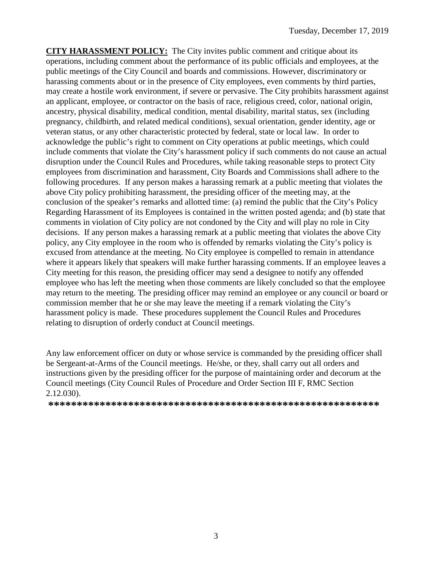**CITY HARASSMENT POLICY:** The City invites public comment and critique about its operations, including comment about the performance of its public officials and employees, at the public meetings of the City Council and boards and commissions. However, discriminatory or harassing comments about or in the presence of City employees, even comments by third parties, may create a hostile work environment, if severe or pervasive. The City prohibits harassment against an applicant, employee, or contractor on the basis of race, religious creed, color, national origin, ancestry, physical disability, medical condition, mental disability, marital status, sex (including pregnancy, childbirth, and related medical conditions), sexual orientation, gender identity, age or veteran status, or any other characteristic protected by federal, state or local law. In order to acknowledge the public's right to comment on City operations at public meetings, which could include comments that violate the City's harassment policy if such comments do not cause an actual disruption under the Council Rules and Procedures, while taking reasonable steps to protect City employees from discrimination and harassment, City Boards and Commissions shall adhere to the following procedures. If any person makes a harassing remark at a public meeting that violates the above City policy prohibiting harassment, the presiding officer of the meeting may, at the conclusion of the speaker's remarks and allotted time: (a) remind the public that the City's Policy Regarding Harassment of its Employees is contained in the written posted agenda; and (b) state that comments in violation of City policy are not condoned by the City and will play no role in City decisions. If any person makes a harassing remark at a public meeting that violates the above City policy, any City employee in the room who is offended by remarks violating the City's policy is excused from attendance at the meeting. No City employee is compelled to remain in attendance where it appears likely that speakers will make further harassing comments. If an employee leaves a City meeting for this reason, the presiding officer may send a designee to notify any offended employee who has left the meeting when those comments are likely concluded so that the employee may return to the meeting. The presiding officer may remind an employee or any council or board or commission member that he or she may leave the meeting if a remark violating the City's harassment policy is made. These procedures supplement the Council Rules and Procedures relating to disruption of orderly conduct at Council meetings.

Any law enforcement officer on duty or whose service is commanded by the presiding officer shall be Sergeant-at-Arms of the Council meetings. He/she, or they, shall carry out all orders and instructions given by the presiding officer for the purpose of maintaining order and decorum at the Council meetings (City Council Rules of Procedure and Order Section III F, RMC Section 2.12.030).

**\*\*\*\*\*\*\*\*\*\*\*\*\*\*\*\*\*\*\*\*\*\*\*\*\*\*\*\*\*\*\*\*\*\*\*\*\*\*\*\*\*\*\*\*\*\*\*\*\*\*\*\*\*\*\*\*\*\***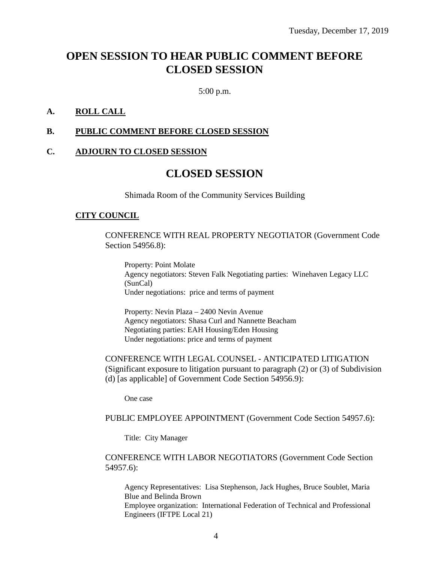## **OPEN SESSION TO HEAR PUBLIC COMMENT BEFORE CLOSED SESSION**

5:00 p.m.

#### **A. ROLL CALL**

#### **B. PUBLIC COMMENT BEFORE CLOSED SESSION**

#### **C. ADJOURN TO CLOSED SESSION**

## **CLOSED SESSION**

Shimada Room of the Community Services Building

#### **CITY COUNCIL**

CONFERENCE WITH REAL PROPERTY NEGOTIATOR (Government Code Section 54956.8):

Property: Point Molate Agency negotiators: Steven Falk Negotiating parties: Winehaven Legacy LLC (SunCal) Under negotiations: price and terms of payment

Property: Nevin Plaza – 2400 Nevin Avenue Agency negotiators: Shasa Curl and Nannette Beacham Negotiating parties: EAH Housing/Eden Housing Under negotiations: price and terms of payment

CONFERENCE WITH LEGAL COUNSEL - ANTICIPATED LITIGATION (Significant exposure to litigation pursuant to paragraph (2) or (3) of Subdivision (d) [as applicable] of Government Code Section 54956.9):

One case

#### PUBLIC EMPLOYEE APPOINTMENT (Government Code Section 54957.6):

Title: City Manager

#### CONFERENCE WITH LABOR NEGOTIATORS (Government Code Section 54957.6):

Agency Representatives: Lisa Stephenson, Jack Hughes, Bruce Soublet, Maria Blue and Belinda Brown Employee organization: International Federation of Technical and Professional Engineers (IFTPE Local 21)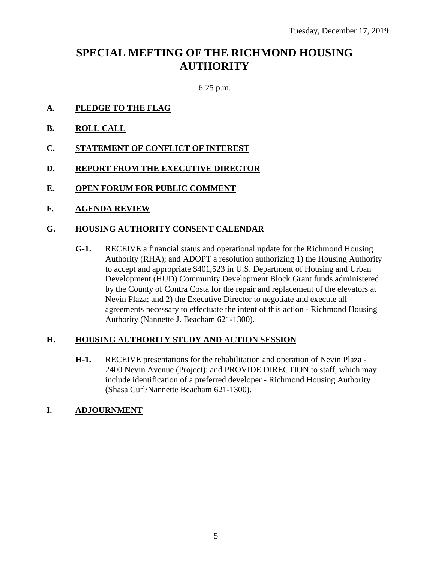## **SPECIAL MEETING OF THE RICHMOND HOUSING AUTHORITY**

6:25 p.m.

- **A. PLEDGE TO THE FLAG**
- **B. ROLL CALL**
- **C. STATEMENT OF CONFLICT OF INTEREST**
- **D. REPORT FROM THE EXECUTIVE DIRECTOR**
- **E. OPEN FORUM FOR PUBLIC COMMENT**
- **F. AGENDA REVIEW**

### **G. HOUSING AUTHORITY CONSENT CALENDAR**

**G-1.** RECEIVE a financial status and operational update for the Richmond Housing Authority (RHA); and ADOPT a resolution authorizing 1) the Housing Authority to accept and appropriate \$401,523 in U.S. Department of Housing and Urban Development (HUD) Community Development Block Grant funds administered by the County of Contra Costa for the repair and replacement of the elevators at Nevin Plaza; and 2) the Executive Director to negotiate and execute all agreements necessary to effectuate the intent of this action - Richmond Housing Authority (Nannette J. Beacham 621-1300).

#### **H. HOUSING AUTHORITY STUDY AND ACTION SESSION**

**H-1.** RECEIVE presentations for the rehabilitation and operation of Nevin Plaza - 2400 Nevin Avenue (Project); and PROVIDE DIRECTION to staff, which may include identification of a preferred developer - Richmond Housing Authority (Shasa Curl/Nannette Beacham 621-1300).

### **I. ADJOURNMENT**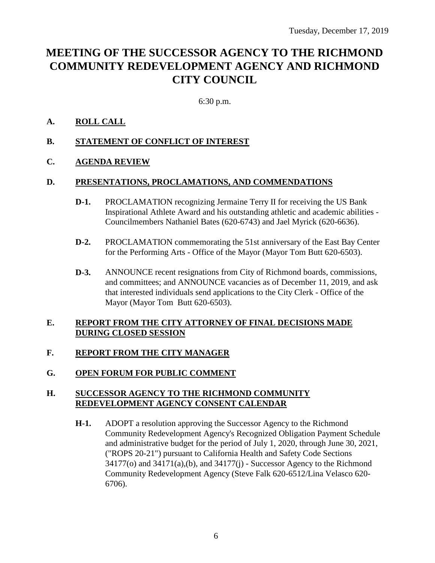## **MEETING OF THE SUCCESSOR AGENCY TO THE RICHMOND COMMUNITY REDEVELOPMENT AGENCY AND RICHMOND CITY COUNCIL**

6:30 p.m.

## **A. ROLL CALL**

- **B. STATEMENT OF CONFLICT OF INTEREST**
- **C. AGENDA REVIEW**

## **D. PRESENTATIONS, PROCLAMATIONS, AND COMMENDATIONS**

- **D-1.** PROCLAMATION recognizing Jermaine Terry II for receiving the US Bank Inspirational Athlete Award and his outstanding athletic and academic abilities - Councilmembers Nathaniel Bates (620-6743) and Jael Myrick (620-6636).
- **D-2.** PROCLAMATION commemorating the 51st anniversary of the East Bay Center for the Performing Arts - Office of the Mayor (Mayor Tom Butt 620-6503).
- **D-3.** ANNOUNCE recent resignations from City of Richmond boards, commissions, and committees; and ANNOUNCE vacancies as of December 11, 2019, and ask that interested individuals send applications to the City Clerk - Office of the Mayor (Mayor Tom Butt 620-6503).

## **E. REPORT FROM THE CITY ATTORNEY OF FINAL DECISIONS MADE DURING CLOSED SESSION**

## **F. REPORT FROM THE CITY MANAGER**

**G. OPEN FORUM FOR PUBLIC COMMENT**

## **H. SUCCESSOR AGENCY TO THE RICHMOND COMMUNITY REDEVELOPMENT AGENCY CONSENT CALENDAR**

**H-1.** ADOPT a resolution approving the Successor Agency to the Richmond Community Redevelopment Agency's Recognized Obligation Payment Schedule and administrative budget for the period of July 1, 2020, through June 30, 2021, ("ROPS 20-21") pursuant to California Health and Safety Code Sections 34177(o) and 34171(a),(b), and 34177(j) - Successor Agency to the Richmond Community Redevelopment Agency (Steve Falk 620-6512/Lina Velasco 620- 6706).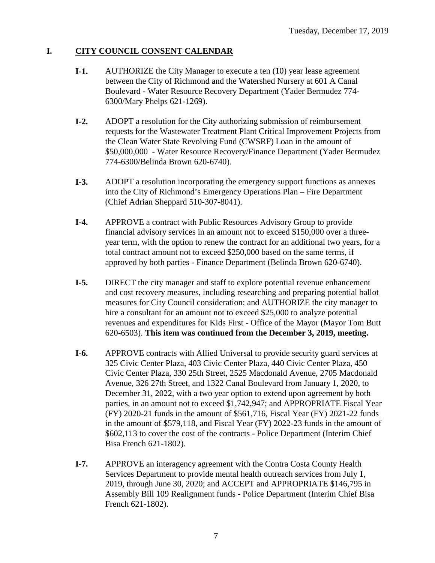## **I. CITY COUNCIL CONSENT CALENDAR**

- **I-1.** AUTHORIZE the City Manager to execute a ten (10) year lease agreement between the City of Richmond and the Watershed Nursery at 601 A Canal Boulevard - Water Resource Recovery Department (Yader Bermudez 774- 6300/Mary Phelps 621-1269).
- **I-2.** ADOPT a resolution for the City authorizing submission of reimbursement requests for the Wastewater Treatment Plant Critical Improvement Projects from the Clean Water State Revolving Fund (CWSRF) Loan in the amount of \$50,000,000 - Water Resource Recovery/Finance Department (Yader Bermudez 774-6300/Belinda Brown 620-6740).
- **I-3.** ADOPT a resolution incorporating the emergency support functions as annexes into the City of Richmond's Emergency Operations Plan – Fire Department (Chief Adrian Sheppard 510-307-8041).
- **I-4.** APPROVE a contract with Public Resources Advisory Group to provide financial advisory services in an amount not to exceed \$150,000 over a threeyear term, with the option to renew the contract for an additional two years, for a total contract amount not to exceed \$250,000 based on the same terms, if approved by both parties - Finance Department (Belinda Brown 620-6740).
- **I-5.** DIRECT the city manager and staff to explore potential revenue enhancement and cost recovery measures, including researching and preparing potential ballot measures for City Council consideration; and AUTHORIZE the city manager to hire a consultant for an amount not to exceed \$25,000 to analyze potential revenues and expenditures for Kids First - Office of the Mayor (Mayor Tom Butt 620-6503). **This item was continued from the December 3, 2019, meeting.**
- **I-6.** APPROVE contracts with Allied Universal to provide security guard services at 325 Civic Center Plaza, 403 Civic Center Plaza, 440 Civic Center Plaza, 450 Civic Center Plaza, 330 25th Street, 2525 Macdonald Avenue, 2705 Macdonald Avenue, 326 27th Street, and 1322 Canal Boulevard from January 1, 2020, to December 31, 2022, with a two year option to extend upon agreement by both parties, in an amount not to exceed \$1,742,947; and APPROPRIATE Fiscal Year (FY) 2020-21 funds in the amount of \$561,716, Fiscal Year (FY) 2021-22 funds in the amount of \$579,118, and Fiscal Year (FY) 2022-23 funds in the amount of \$602,113 to cover the cost of the contracts - Police Department (Interim Chief Bisa French 621-1802).
- **I-7.** APPROVE an interagency agreement with the Contra Costa County Health Services Department to provide mental health outreach services from July 1, 2019, through June 30, 2020; and ACCEPT and APPROPRIATE \$146,795 in Assembly Bill 109 Realignment funds - Police Department (Interim Chief Bisa French 621-1802).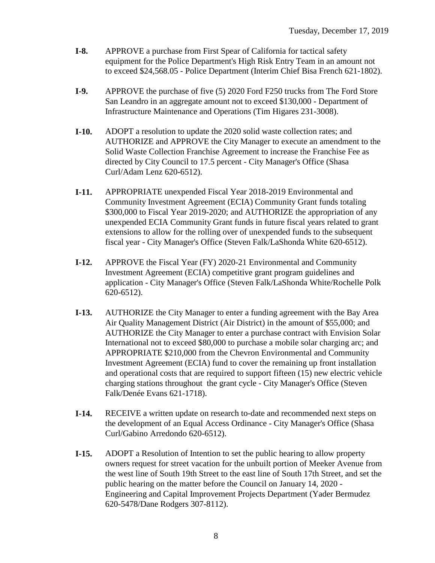- **I-8.** APPROVE a purchase from First Spear of California for tactical safety equipment for the Police Department's High Risk Entry Team in an amount not to exceed \$24,568.05 - Police Department (Interim Chief Bisa French 621-1802).
- **I-9.** APPROVE the purchase of five (5) 2020 Ford F250 trucks from The Ford Store San Leandro in an aggregate amount not to exceed \$130,000 - Department of Infrastructure Maintenance and Operations (Tim Higares 231-3008).
- **I-10.** ADOPT a resolution to update the 2020 solid waste collection rates; and AUTHORIZE and APPROVE the City Manager to execute an amendment to the Solid Waste Collection Franchise Agreement to increase the Franchise Fee as directed by City Council to 17.5 percent - City Manager's Office (Shasa Curl/Adam Lenz 620-6512).
- **I-11.** APPROPRIATE unexpended Fiscal Year 2018-2019 Environmental and Community Investment Agreement (ECIA) Community Grant funds totaling \$300,000 to Fiscal Year 2019-2020; and AUTHORIZE the appropriation of any unexpended ECIA Community Grant funds in future fiscal years related to grant extensions to allow for the rolling over of unexpended funds to the subsequent fiscal year - City Manager's Office (Steven Falk/LaShonda White 620-6512).
- **I-12.** APPROVE the Fiscal Year (FY) 2020-21 Environmental and Community Investment Agreement (ECIA) competitive grant program guidelines and application - City Manager's Office (Steven Falk/LaShonda White/Rochelle Polk 620-6512).
- **I-13.** AUTHORIZE the City Manager to enter a funding agreement with the Bay Area Air Quality Management District (Air District) in the amount of \$55,000; and AUTHORIZE the City Manager to enter a purchase contract with Envision Solar International not to exceed \$80,000 to purchase a mobile solar charging arc; and APPROPRIATE \$210,000 from the Chevron Environmental and Community Investment Agreement (ECIA) fund to cover the remaining up front installation and operational costs that are required to support fifteen (15) new electric vehicle charging stations throughout the grant cycle - City Manager's Office (Steven Falk/Denée Evans 621-1718).
- **I-14.** RECEIVE a written update on research to-date and recommended next steps on the development of an Equal Access Ordinance - City Manager's Office (Shasa Curl/Gabino Arredondo 620-6512).
- **I-15.** ADOPT a Resolution of Intention to set the public hearing to allow property owners request for street vacation for the unbuilt portion of Meeker Avenue from the west line of South 19th Street to the east line of South 17th Street, and set the public hearing on the matter before the Council on January 14, 2020 - Engineering and Capital Improvement Projects Department (Yader Bermudez 620-5478/Dane Rodgers 307-8112).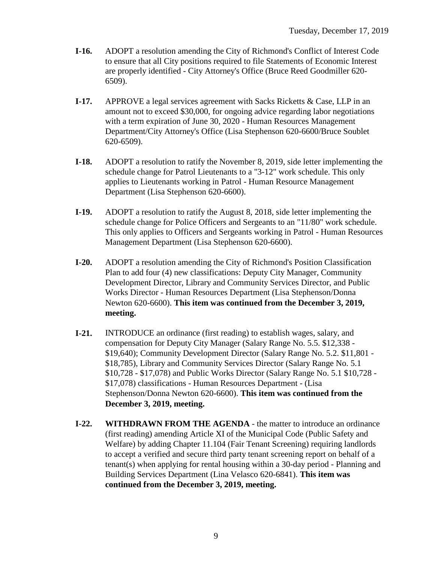- **I-16.** ADOPT a resolution amending the City of Richmond's Conflict of Interest Code to ensure that all City positions required to file Statements of Economic Interest are properly identified - City Attorney's Office (Bruce Reed Goodmiller 620- 6509).
- **I-17.** APPROVE a legal services agreement with Sacks Ricketts & Case, LLP in an amount not to exceed \$30,000, for ongoing advice regarding labor negotiations with a term expiration of June 30, 2020 - Human Resources Management Department/City Attorney's Office (Lisa Stephenson 620-6600/Bruce Soublet 620-6509).
- **I-18.** ADOPT a resolution to ratify the November 8, 2019, side letter implementing the schedule change for Patrol Lieutenants to a "3-12" work schedule. This only applies to Lieutenants working in Patrol - Human Resource Management Department (Lisa Stephenson 620-6600).
- **I-19.** ADOPT a resolution to ratify the August 8, 2018, side letter implementing the schedule change for Police Officers and Sergeants to an "11/80" work schedule. This only applies to Officers and Sergeants working in Patrol - Human Resources Management Department (Lisa Stephenson 620-6600).
- **I-20.** ADOPT a resolution amending the City of Richmond's Position Classification Plan to add four (4) new classifications: Deputy City Manager, Community Development Director, Library and Community Services Director, and Public Works Director - Human Resources Department (Lisa Stephenson/Donna Newton 620-6600). **This item was continued from the December 3, 2019, meeting.**
- **I-21.** INTRODUCE an ordinance (first reading) to establish wages, salary, and compensation for Deputy City Manager (Salary Range No. 5.5. \$12,338 - \$19,640); Community Development Director (Salary Range No. 5.2. \$11,801 - \$18,785), Library and Community Services Director (Salary Range No. 5.1 \$10,728 - \$17,078) and Public Works Director (Salary Range No. 5.1 \$10,728 - \$17,078) classifications - Human Resources Department - (Lisa Stephenson/Donna Newton 620-6600). **This item was continued from the December 3, 2019, meeting.**
- **I-22. WITHDRAWN FROM THE AGENDA** the matter to introduce an ordinance (first reading) amending Article XI of the Municipal Code (Public Safety and Welfare) by adding Chapter 11.104 (Fair Tenant Screening) requiring landlords to accept a verified and secure third party tenant screening report on behalf of a tenant(s) when applying for rental housing within a 30-day period - Planning and Building Services Department (Lina Velasco 620-6841). **This item was continued from the December 3, 2019, meeting.**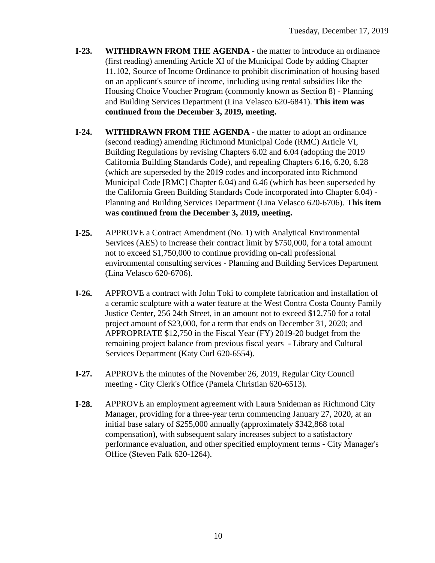- **I-23. WITHDRAWN FROM THE AGENDA** the matter to introduce an ordinance (first reading) amending Article XI of the Municipal Code by adding Chapter 11.102, Source of Income Ordinance to prohibit discrimination of housing based on an applicant's source of income, including using rental subsidies like the Housing Choice Voucher Program (commonly known as Section 8) - Planning and Building Services Department (Lina Velasco 620-6841). **This item was continued from the December 3, 2019, meeting.**
- **I-24. WITHDRAWN FROM THE AGENDA** the matter to adopt an ordinance (second reading) amending Richmond Municipal Code (RMC) Article VI, Building Regulations by revising Chapters 6.02 and 6.04 (adopting the 2019 California Building Standards Code), and repealing Chapters 6.16, 6.20, 6.28 (which are superseded by the 2019 codes and incorporated into Richmond Municipal Code [RMC] Chapter 6.04) and 6.46 (which has been superseded by the California Green Building Standards Code incorporated into Chapter 6.04) - Planning and Building Services Department (Lina Velasco 620-6706). **This item was continued from the December 3, 2019, meeting.**
- **I-25.** APPROVE a Contract Amendment (No. 1) with Analytical Environmental Services (AES) to increase their contract limit by \$750,000, for a total amount not to exceed \$1,750,000 to continue providing on-call professional environmental consulting services - Planning and Building Services Department (Lina Velasco 620-6706).
- **I-26.** APPROVE a contract with John Toki to complete fabrication and installation of a ceramic sculpture with a water feature at the West Contra Costa County Family Justice Center, 256 24th Street, in an amount not to exceed \$12,750 for a total project amount of \$23,000, for a term that ends on December 31, 2020; and APPROPRIATE \$12,750 in the Fiscal Year (FY) 2019-20 budget from the remaining project balance from previous fiscal years - Library and Cultural Services Department (Katy Curl 620-6554).
- **I-27.** APPROVE the minutes of the November 26, 2019, Regular City Council meeting - City Clerk's Office (Pamela Christian 620-6513).
- **I-28.** APPROVE an employment agreement with Laura Snideman as Richmond City Manager, providing for a three-year term commencing January 27, 2020, at an initial base salary of \$255,000 annually (approximately \$342,868 total compensation), with subsequent salary increases subject to a satisfactory performance evaluation, and other specified employment terms - City Manager's Office (Steven Falk 620-1264).